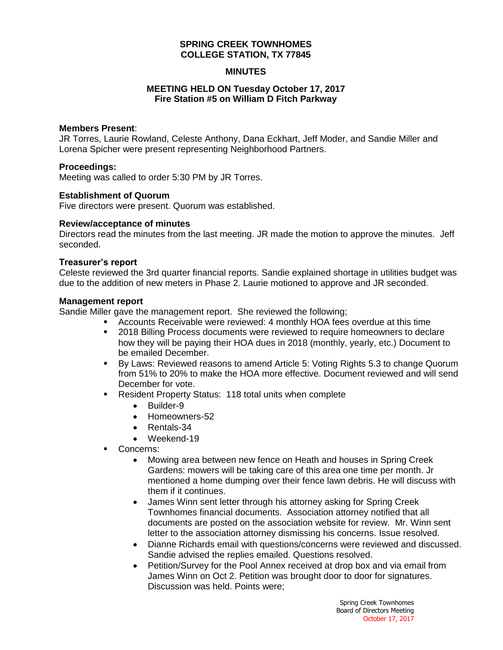### **SPRING CREEK TOWNHOMES COLLEGE STATION, TX 77845**

### **MINUTES**

### **MEETING HELD ON Tuesday October 17, 2017 Fire Station #5 on William D Fitch Parkway**

#### **Members Present**:

JR Torres, Laurie Rowland, Celeste Anthony, Dana Eckhart, Jeff Moder, and Sandie Miller and Lorena Spicher were present representing Neighborhood Partners.

#### **Proceedings:**

Meeting was called to order 5:30 PM by JR Torres.

#### **Establishment of Quorum**

Five directors were present. Quorum was established.

#### **Review/acceptance of minutes**

Directors read the minutes from the last meeting. JR made the motion to approve the minutes. Jeff seconded.

#### **Treasurer's report**

Celeste reviewed the 3rd quarter financial reports. Sandie explained shortage in utilities budget was due to the addition of new meters in Phase 2. Laurie motioned to approve and JR seconded.

#### **Management report**

Sandie Miller gave the management report. She reviewed the following;

- Accounts Receivable were reviewed: 4 monthly HOA fees overdue at this time
- 2018 Billing Process documents were reviewed to require homeowners to declare how they will be paying their HOA dues in 2018 (monthly, yearly, etc.) Document to be emailed December.
- By Laws: Reviewed reasons to amend Article 5: Voting Rights 5.3 to change Quorum from 51% to 20% to make the HOA more effective. Document reviewed and will send December for vote.
- Resident Property Status: 118 total units when complete
	- Builder-9
	- Homeowners-52
	- Rentals-34
	- Weekend-19
- Concerns:
	- Mowing area between new fence on Heath and houses in Spring Creek Gardens: mowers will be taking care of this area one time per month. Jr mentioned a home dumping over their fence lawn debris. He will discuss with them if it continues.
	- James Winn sent letter through his attorney asking for Spring Creek Townhomes financial documents. Association attorney notified that all documents are posted on the association website for review. Mr. Winn sent letter to the association attorney dismissing his concerns. Issue resolved.
	- Dianne Richards email with questions/concerns were reviewed and discussed. Sandie advised the replies emailed. Questions resolved.
	- Petition/Survey for the Pool Annex received at drop box and via email from James Winn on Oct 2. Petition was brought door to door for signatures. Discussion was held. Points were;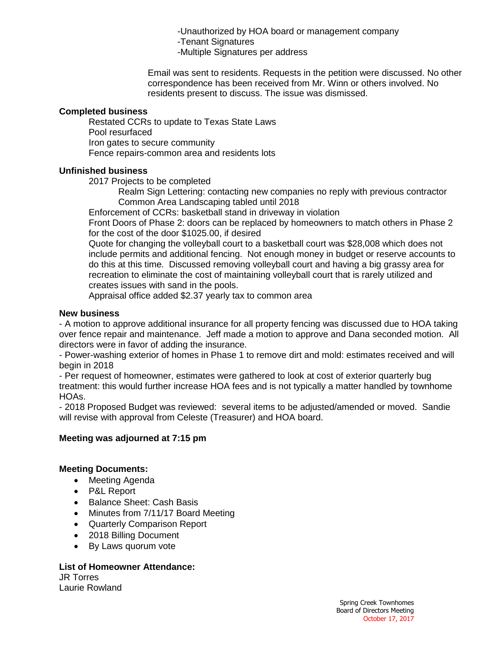-Unauthorized by HOA board or management company

-Tenant Signatures

-Multiple Signatures per address

Email was sent to residents. Requests in the petition were discussed. No other correspondence has been received from Mr. Winn or others involved. No residents present to discuss. The issue was dismissed.

## **Completed business**

Restated CCRs to update to Texas State Laws Pool resurfaced Iron gates to secure community Fence repairs-common area and residents lots

## **Unfinished business**

2017 Projects to be completed

Realm Sign Lettering: contacting new companies no reply with previous contractor Common Area Landscaping tabled until 2018

Enforcement of CCRs: basketball stand in driveway in violation

Front Doors of Phase 2: doors can be replaced by homeowners to match others in Phase 2 for the cost of the door \$1025.00, if desired

Quote for changing the volleyball court to a basketball court was \$28,008 which does not include permits and additional fencing. Not enough money in budget or reserve accounts to do this at this time. Discussed removing volleyball court and having a big grassy area for recreation to eliminate the cost of maintaining volleyball court that is rarely utilized and creates issues with sand in the pools.

Appraisal office added \$2.37 yearly tax to common area

## **New business**

- A motion to approve additional insurance for all property fencing was discussed due to HOA taking over fence repair and maintenance. Jeff made a motion to approve and Dana seconded motion. All directors were in favor of adding the insurance.

- Power-washing exterior of homes in Phase 1 to remove dirt and mold: estimates received and will begin in 2018

- Per request of homeowner, estimates were gathered to look at cost of exterior quarterly bug treatment: this would further increase HOA fees and is not typically a matter handled by townhome HOAs.

- 2018 Proposed Budget was reviewed: several items to be adjusted/amended or moved. Sandie will revise with approval from Celeste (Treasurer) and HOA board.

# **Meeting was adjourned at 7:15 pm**

# **Meeting Documents:**

- Meeting Agenda
- P&L Report
- Balance Sheet: Cash Basis
- Minutes from 7/11/17 Board Meeting
- Quarterly Comparison Report
- 2018 Billing Document
- By Laws quorum vote

# **List of Homeowner Attendance:**

JR Torres Laurie Rowland